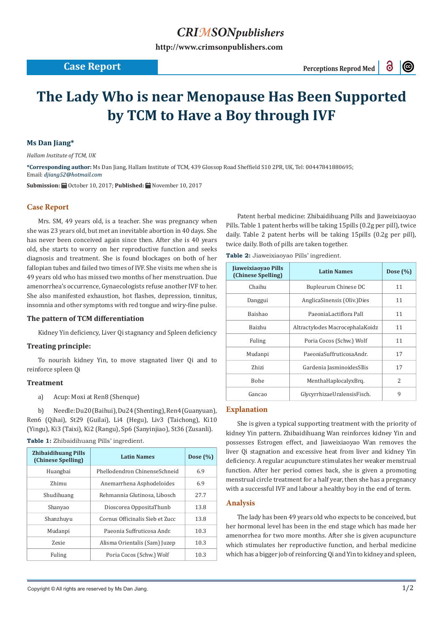# *CRIMSONpublishers*

**[http://www.crimsonpublishers.com](http://crimsonpublishers.com)**

## **Case Report** Perceptions Reprod Med

 $\odot$ 

# **The Lady Who is near Menopause Has Been Supported by TCM to Have a Boy through IVF**

### **Ms Dan Jiang\***

*Hallam Institute of TCM, UK*

**\*Corresponding author:** Ms Dan Jiang, Hallam Institute of TCM, 439 Glossop Road Sheffield S10 2PR, UK, Tel: 00447841880695; Email: djiang52@hotmail.com

Submission: **自**October 10, 2017; Published: 自 November 10, 2017

#### **Case Report**

Mrs. SM, 49 years old, is a teacher. She was pregnancy when she was 23 years old, but met an inevitable abortion in 40 days. She has never been conceived again since then. After she is 40 years old, she starts to worry on her reproductive function and seeks diagnosis and treatment. She is found blockages on both of her fallopian tubes and failed two times of IVF. She visits me when she is 49 years old who has missed two months of her menstruation. Due amenorrhea's occurrence, Gynaecologists refuse another IVF to her. She also manifested exhaustion, hot flashes, depression, tinnitus, insomnia and other symptoms with red tongue and wiry-fine pulse.

#### **The pattern of TCM differentiation**

Kidney Yin deficiency, Liver Qi stagnancy and Spleen deficiency

#### **Treating principle:**

To nourish kidney Yin, to move stagnated liver Qi and to reinforce spleen Qi

#### **Treatment**

a) Acup: Moxi at Ren8 (Shenque)

b) Needle: Du20 (Baihui), Du24 (Shenting), Ren4 (Guanyuan), Ren6 (Qihai), St29 (Guilai), Li4 (Hegu), Liv3 (Taichong), Ki10 (Yingu), Ki3 (Taixi), Ki2 (Rangu), Sp6 (Sanyinjiao), St36 (Zusanli). **Table 1:** Zhibaidihuang Pills' ingredient.

| <b>Table 1:</b> Zhibaidinuang Pills ingredient. |  |  |
|-------------------------------------------------|--|--|
|                                                 |  |  |

| <b>Zhibaidihuang Pills</b><br>(Chinese Spelling) | <b>Latin Names</b>              | Dose $(\% )$ |
|--------------------------------------------------|---------------------------------|--------------|
| Huangbai                                         | Phellodendron ChinenseSchneid   | 6.9          |
| Zhimu                                            | Anemarrhena Asphodeloides       | 6.9          |
| Shudihuang                                       | Rehmannia Glutinosa, Libosch    | 27.7         |
| Shanyao                                          | Dioscorea OppositaThunb         | 13.8         |
| Shanzhuyu                                        | Cornus Officinalis Sieb et Zucc | 13.8         |
| Mudanpi                                          | Paeonia Suffruticosa Andr.      | 10.3         |
| <b>Zexie</b>                                     | Alisma Orientalis (Sam) Juzep   | 10.3         |
| Fuling                                           | Poria Cocos (Schw.) Wolf        | 10.3         |

Patent herbal medicine: Zhibaidihuang Pills and Jiaweixiaoyao Pills. Table 1 patent herbs will be taking 15pills (0.2g per pill), twice daily. Table 2 patent herbs will be taking 15pills (0.2g per pill), twice daily. Both of pills are taken together.

**Table 2:** Jiaweixiaoyao Pills' ingredient.

| Jiaweixiaoyao Pills<br>(Chinese Spelling) | <b>Latin Names</b>              | Dose $(\% )$  |
|-------------------------------------------|---------------------------------|---------------|
| Chaihu                                    | Bupleurum Chinese DC            | 11            |
| Danggui                                   | AnglicaSinensis (Oliv.)Dies     | 11            |
| Baishao                                   | PaeoniaLactiflora Pall          | 11            |
| Baizhu                                    | Altractylodes MacrocephalaKoidz | 11            |
| Fuling                                    | Poria Cocos (Schw.) Wolf        | 11            |
| Mudanpi                                   | PaeoniaSuffruticosaAndr.        | 17            |
| Zhizi                                     | Gardenia JasminoidesSllis       | 17            |
| <b>Bohe</b>                               | MenthaHaplocalyxBrq.            | $\mathcal{L}$ |
| Gancao                                    | GlycyrrhizaeUralensisFisch.     | 9             |

#### **Explanation**

She is given a typical supporting treatment with the priority of kidney Yin pattern. Zhibaidihuang Wan reinforces kidney Yin and possesses Estrogen effect, and Jiaweixiaoyao Wan removes the liver Qi stagnation and excessive heat from liver and kidney Yin deficiency. A regular acupuncture stimulates her weaker menstrual function. After her period comes back, she is given a promoting menstrual circle treatment for a half year, then she has a pregnancy with a successful IVF and labour a healthy boy in the end of term.

#### **Analysis**

The lady has been 49 years old who expects to be conceived, but her hormonal level has been in the end stage which has made her amenorrhea for two more months. After she is given acupuncture which stimulates her reproductive function, and herbal medicine which has a bigger job of reinforcing Qi and Yin to kidney and spleen,